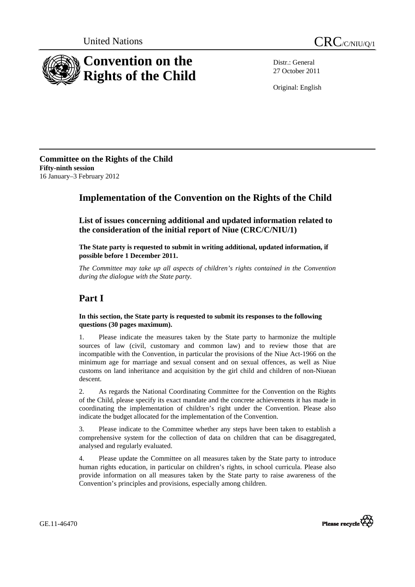



Distr.: General 27 October 2011

Original: English

**Committee on the Rights of the Child Fifty-ninth session**  16 January–3 February 2012

## **Implementation of the Convention on the Rights of the Child**

 **List of issues concerning additional and updated information related to the consideration of the initial report of Niue (CRC/C/NIU/1)** 

 **The State party is requested to submit in writing additional, updated information, if possible before 1 December 2011.** 

*The Committee may take up all aspects of children's rights contained in the Convention during the dialogue with the State party.* 

# **Part I**

#### **In this section, the State party is requested to submit its responses to the following questions (30 pages maximum).**

1. Please indicate the measures taken by the State party to harmonize the multiple sources of law (civil, customary and common law) and to review those that are incompatible with the Convention, in particular the provisions of the Niue Act-1966 on the minimum age for marriage and sexual consent and on sexual offences, as well as Niue customs on land inheritance and acquisition by the girl child and children of non-Niuean descent.

2. As regards the National Coordinating Committee for the Convention on the Rights of the Child, please specify its exact mandate and the concrete achievements it has made in coordinating the implementation of children's right under the Convention. Please also indicate the budget allocated for the implementation of the Convention.

3. Please indicate to the Committee whether any steps have been taken to establish a comprehensive system for the collection of data on children that can be disaggregated, analysed and regularly evaluated.

4. Please update the Committee on all measures taken by the State party to introduce human rights education, in particular on children's rights, in school curricula. Please also provide information on all measures taken by the State party to raise awareness of the Convention's principles and provisions, especially among children.



GE.11-46470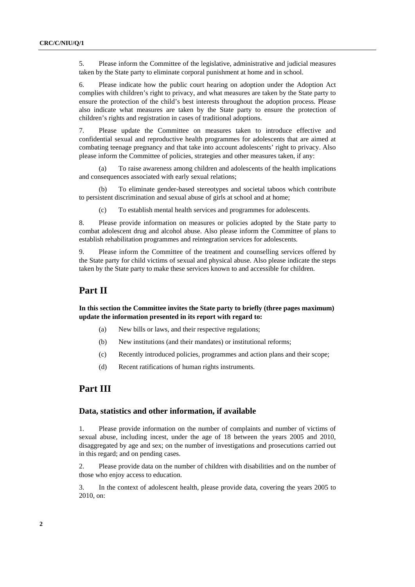5. Please inform the Committee of the legislative, administrative and judicial measures taken by the State party to eliminate corporal punishment at home and in school.

6. Please indicate how the public court hearing on adoption under the Adoption Act complies with children's right to privacy, and what measures are taken by the State party to ensure the protection of the child's best interests throughout the adoption process. Please also indicate what measures are taken by the State party to ensure the protection of children's rights and registration in cases of traditional adoptions.

7. Please update the Committee on measures taken to introduce effective and confidential sexual and reproductive health programmes for adolescents that are aimed at combating teenage pregnancy and that take into account adolescents' right to privacy. Also please inform the Committee of policies, strategies and other measures taken, if any:

To raise awareness among children and adolescents of the health implications and consequences associated with early sexual relations;

(b) To eliminate gender-based stereotypes and societal taboos which contribute to persistent discrimination and sexual abuse of girls at school and at home;

(c) To establish mental health services and programmes for adolescents.

8. Please provide information on measures or policies adopted by the State party to combat adolescent drug and alcohol abuse. Also please inform the Committee of plans to establish rehabilitation programmes and reintegration services for adolescents.

9. Please inform the Committee of the treatment and counselling services offered by the State party for child victims of sexual and physical abuse. Also please indicate the steps taken by the State party to make these services known to and accessible for children.

### **Part II**

 **In this section the Committee invites the State party to briefly (three pages maximum) update the information presented in its report with regard to:** 

- (a) New bills or laws, and their respective regulations;
- (b) New institutions (and their mandates) or institutional reforms;
- (c) Recently introduced policies, programmes and action plans and their scope;
- (d) Recent ratifications of human rights instruments.

### **Part III**

#### **Data, statistics and other information, if available**

1. Please provide information on the number of complaints and number of victims of sexual abuse, including incest, under the age of 18 between the years 2005 and 2010, disaggregated by age and sex; on the number of investigations and prosecutions carried out in this regard; and on pending cases.

2. Please provide data on the number of children with disabilities and on the number of those who enjoy access to education.

3. In the context of adolescent health, please provide data, covering the years 2005 to 2010, on: